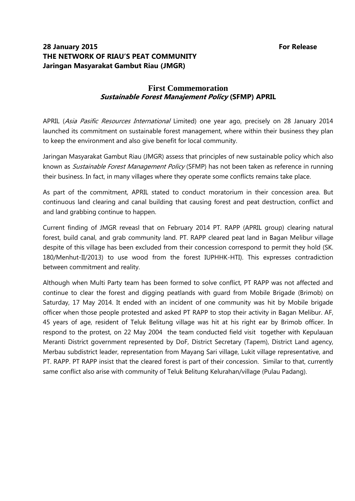## **28 January 2015 For Release THE NETWORK OF RIAU'S PEAT COMMUNITY Jaringan Masyarakat Gambut Riau (JMGR)**

## **First Commemoration Sustainable Forest Manajement Policy (SFMP) APRIL**

APRIL (Asia Pasific Resources International Limited) one year ago, precisely on 28 January 2014 launched its commitment on sustainable forest management, where within their business they plan to keep the environment and also give benefit for local community.

Jaringan Masyarakat Gambut Riau (JMGR) assess that principles of new sustainable policy which also known as *Sustainable Forest Management Policy* (SFMP) has not been taken as reference in running their business. In fact, in many villages where they operate some conflicts remains take place.

As part of the commitment, APRIL stated to conduct moratorium in their concession area. But continuous land clearing and canal building that causing forest and peat destruction, conflict and and land grabbing continue to happen.

Current finding of JMGR reveasl that on February 2014 PT. RAPP (APRIL group) clearing natural forest, build canal, and grab community land. PT. RAPP cleared peat land in Bagan Melibur village despite of this village has been excluded from their concession correspond to permit they hold (SK. 180/Menhut-II/2013) to use wood from the forest IUPHHK-HTI). This expresses contradiction between commitment and reality.

Although when Multi Party team has been formed to solve conflict, PT RAPP was not affected and continue to clear the forest and digging peatlands with guard from Mobile Brigade (Brimob) on Saturday, 17 May 2014. It ended with an incident of one community was hit by Mobile brigade officer when those people protested and asked PT RAPP to stop their activity in Bagan Melibur. AF, 45 years of age, resident of Teluk Belitung village was hit at his right ear by Brimob officer. In respond to the protest, on 22 May 2004 the team conducted field visit together with Kepulauan Meranti District government represented by DoF, District Secretary (Tapem), District Land agency, Merbau subdistrict leader, representation from Mayang Sari village, Lukit village representative, and PT. RAPP. PT RAPP insist that the cleared forest is part of their concession. Similar to that, currently same conflict also arise with community of Teluk Belitung Kelurahan/village (Pulau Padang).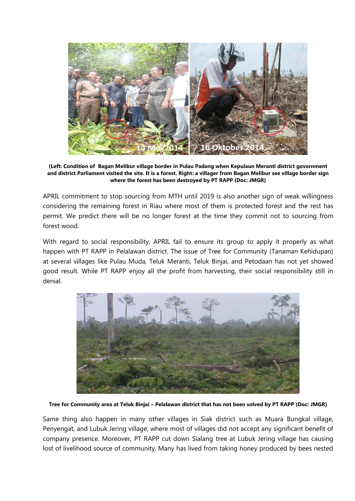

**(Left: Condition of Bagan Melibur village border in Pulau Padang when Kepulaun Meranti district government and district Parliament visited the site. It is a forest. Right: a villager from Bagan Melibur see village border sign where the forest has been destroyed by PT RAPP (Doc: JMGR)**

APRIL commitment to stop sourcing from MTH until 2019 is also another sign of weak willingness considering the remaining forest in Riau where most of them is protected forest and the rest has permit. We predict there will be no longer forest at the time they commit not to sourcing from forest wood.

With regard to social responsibility, APRIL fail to ensure its group to apply it properly as what happen with PT RAPP in Pelalawan district. The issue of Tree for Community (Tanaman Kehidupan) at several villages like Pulau Muda, Teluk Meranti, Teluk Binjai, and Petodaan has not yet showed good result. While PT RAPP enjoy all the profit from harvesting, their social responsibility still in denial.



**Tree for Community area at Teluk Binjai – Pelalawan district that has not been solved by PT RAPP (Doc: JMGR)**

Same thing also happen in many other villages in Siak district such as Muara Bungkal village, Penyengat, and Lubuk Jering village; where most of villages did not accept any significant benefit of company presence. Moreover, PT RAPP cut down Sialang tree at Lubuk Jering village has causing lost of livelihood source of community. Many has lived from taking honey produced by bees nested